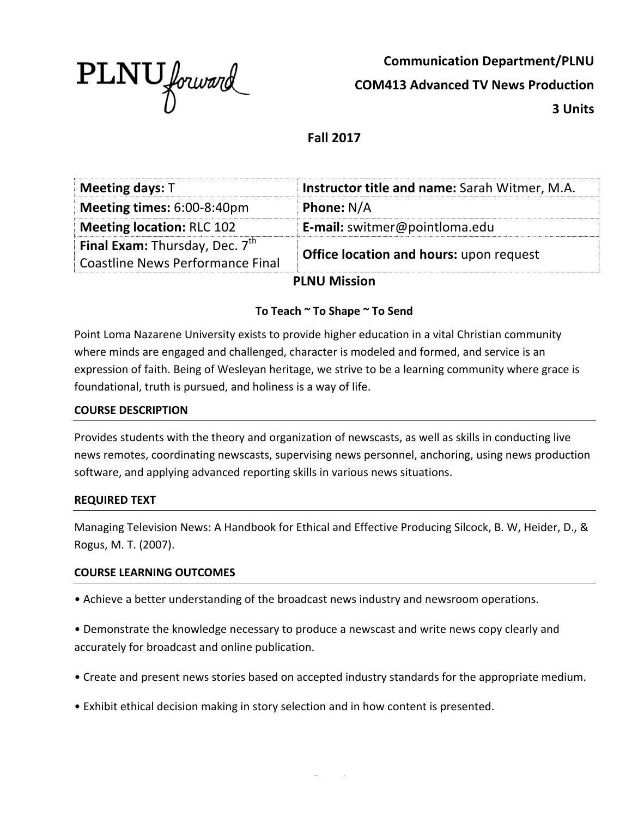

**Communication Department/PLNU COM413 Advanced TV News Production 3 Units**

# **Fall 2017**

| <b>Meeting days: T</b>                  | Instructor title and name: Sarah Witmer, M.A.  |  |  |
|-----------------------------------------|------------------------------------------------|--|--|
| Meeting times: 6:00-8:40pm              | <b>Phone: N/A</b>                              |  |  |
| <b>Meeting location: RLC 102</b>        | <b>E-mail:</b> switmer@pointloma.edu           |  |  |
| <b>Final Exam:</b> Thursday, Dec. $7th$ | <b>Office location and hours: upon request</b> |  |  |
| Coastline News Performance Final        |                                                |  |  |
| <b>PLNU Mission</b>                     |                                                |  |  |

#### To Teach ~ To Shape ~ To Send

Point Loma Nazarene University exists to provide higher education in a vital Christian community where minds are engaged and challenged, character is modeled and formed, and service is an expression of faith. Being of Wesleyan heritage, we strive to be a learning community where grace is foundational, truth is pursued, and holiness is a way of life.

#### **COURSE DESCRIPTION**

Provides students with the theory and organization of newscasts, as well as skills in conducting live news remotes, coordinating newscasts, supervising news personnel, anchoring, using news production software, and applying advanced reporting skills in various news situations.

#### **REQUIRED TEXT**

Managing Television News: A Handbook for Ethical and Effective Producing Silcock, B. W, Heider, D., & Rogus, M. T. (2007).

#### **COURSE LEARNING OUTCOMES**

• Achieve a better understanding of the broadcast news industry and newsroom operations.

• Demonstrate the knowledge necessary to produce a newscast and write news copy clearly and accurately for broadcast and online publication.

- Create and present news stories based on accepted industry standards for the appropriate medium.
- Exhibit ethical decision making in story selection and in how content is presented.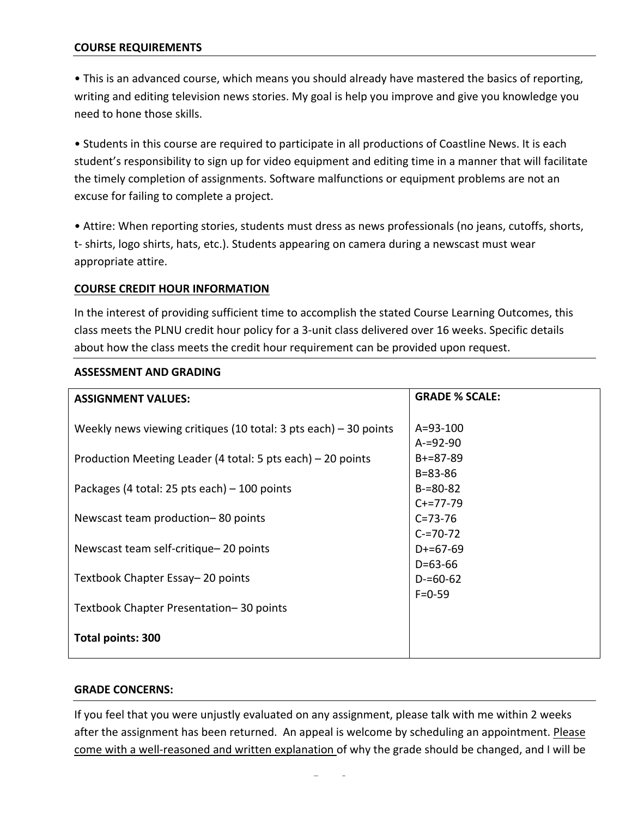#### **COURSE REQUIREMENTS**

• This is an advanced course, which means you should already have mastered the basics of reporting, writing and editing television news stories. My goal is help you improve and give you knowledge you need to hone those skills.

• Students in this course are required to participate in all productions of Coastline News. It is each student's responsibility to sign up for video equipment and editing time in a manner that will facilitate the timely completion of assignments. Software malfunctions or equipment problems are not an excuse for failing to complete a project.

• Attire: When reporting stories, students must dress as news professionals (no jeans, cutoffs, shorts, t- shirts, logo shirts, hats, etc.). Students appearing on camera during a newscast must wear appropriate attire.

#### **COURSE CREDIT HOUR INFORMATION**

In the interest of providing sufficient time to accomplish the stated Course Learning Outcomes, this class meets the PLNU credit hour policy for a 3-unit class delivered over 16 weeks. Specific details about how the class meets the credit hour requirement can be provided upon request.

| <b>ASSIGNMENT VALUES:</b>                                         | <b>GRADE % SCALE:</b>          |
|-------------------------------------------------------------------|--------------------------------|
| Weekly news viewing critiques (10 total: 3 pts each) $-30$ points | $A = 93 - 100$                 |
| Production Meeting Leader (4 total: 5 pts each) – 20 points       | $A = 92 - 90$<br>$B+=87-89$    |
| Packages (4 total: 25 pts each) $-$ 100 points                    | $B = 83 - 86$<br>$B = 80 - 82$ |
| Newscast team production-80 points                                | $C+=77-79$<br>$C = 73 - 76$    |
| Newscast team self-critique-20 points                             | $C = 70 - 72$<br>$D+=67-69$    |
| Textbook Chapter Essay-20 points                                  | $D = 63 - 66$<br>$D = 60 - 62$ |
| Textbook Chapter Presentation-30 points                           | $F = 0 - 59$                   |
| Total points: 300                                                 |                                |

#### **ASSESSMENT AND GRADING**

#### **GRADE CONCERNS:**

If you feel that you were unjustly evaluated on any assignment, please talk with me within 2 weeks after the assignment has been returned. An appeal is welcome by scheduling an appointment. Please come with a well-reasoned and written explanation of why the grade should be changed, and I will be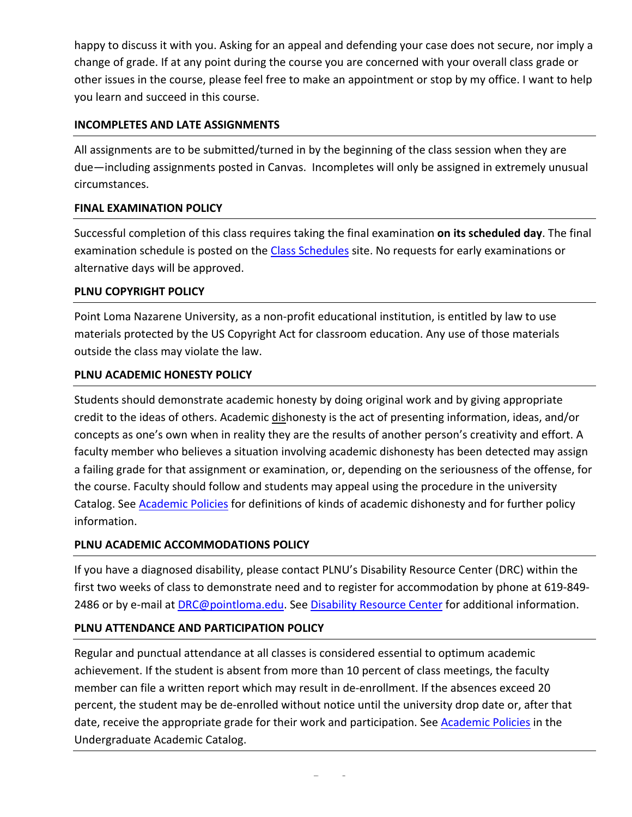happy to discuss it with you. Asking for an appeal and defending your case does not secure, nor imply a change of grade. If at any point during the course you are concerned with your overall class grade or other issues in the course, please feel free to make an appointment or stop by my office. I want to help you learn and succeed in this course.

## **INCOMPLETES AND LATE ASSIGNMENTS**

All assignments are to be submitted/turned in by the beginning of the class session when they are due—including assignments posted in Canvas. Incompletes will only be assigned in extremely unusual circumstances.

## **FINAL EXAMINATION POLICY**

Successful completion of this class requires taking the final examination on its scheduled day. The final examination schedule is posted on the Class Schedules site. No requests for early examinations or alternative days will be approved.

## **PLNU COPYRIGHT POLICY**

Point Loma Nazarene University, as a non-profit educational institution, is entitled by law to use materials protected by the US Copyright Act for classroom education. Any use of those materials outside the class may violate the law.

## **PLNU ACADEMIC HONESTY POLICY**

Students should demonstrate academic honesty by doing original work and by giving appropriate credit to the ideas of others. Academic dishonesty is the act of presenting information, ideas, and/or concepts as one's own when in reality they are the results of another person's creativity and effort. A faculty member who believes a situation involving academic dishonesty has been detected may assign a failing grade for that assignment or examination, or, depending on the seriousness of the offense, for the course. Faculty should follow and students may appeal using the procedure in the university Catalog. See Academic Policies for definitions of kinds of academic dishonesty and for further policy information.

## **PLNU ACADEMIC ACCOMMODATIONS POLICY**

If you have a diagnosed disability, please contact PLNU's Disability Resource Center (DRC) within the first two weeks of class to demonstrate need and to register for accommodation by phone at 619-849-2486 or by e-mail at DRC@pointloma.edu. See Disability Resource Center for additional information.

## **PLNU ATTENDANCE AND PARTICIPATION POLICY**

Regular and punctual attendance at all classes is considered essential to optimum academic achievement. If the student is absent from more than 10 percent of class meetings, the faculty member can file a written report which may result in de-enrollment. If the absences exceed 20 percent, the student may be de-enrolled without notice until the university drop date or, after that date, receive the appropriate grade for their work and participation. See Academic Policies in the Undergraduate Academic Catalog.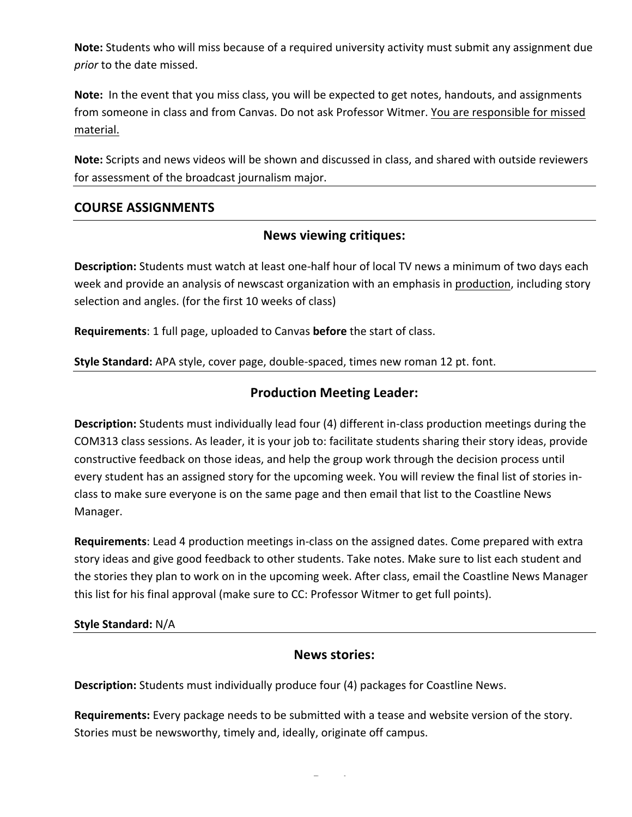**Note:** Students who will miss because of a required university activity must submit any assignment due *prior* to the date missed.

**Note:** In the event that you miss class, you will be expected to get notes, handouts, and assignments from someone in class and from Canvas. Do not ask Professor Witmer. You are responsible for missed material.

**Note:** Scripts and news videos will be shown and discussed in class, and shared with outside reviewers for assessment of the broadcast journalism major.

## **COURSE ASSIGNMENTS**

## **News viewing critiques:**

**Description:** Students must watch at least one-half hour of local TV news a minimum of two days each week and provide an analysis of newscast organization with an emphasis in production, including story selection and angles. (for the first 10 weeks of class)

**Requirements**: 1 full page, uploaded to Canvas **before** the start of class.

**Style Standard:** APA style, cover page, double-spaced, times new roman 12 pt. font.

## **Production Meeting Leader:**

**Description:** Students must individually lead four (4) different in-class production meetings during the COM313 class sessions. As leader, it is your job to: facilitate students sharing their story ideas, provide constructive feedback on those ideas, and help the group work through the decision process until every student has an assigned story for the upcoming week. You will review the final list of stories inclass to make sure everyone is on the same page and then email that list to the Coastline News Manager.

**Requirements:** Lead 4 production meetings in-class on the assigned dates. Come prepared with extra story ideas and give good feedback to other students. Take notes. Make sure to list each student and the stories they plan to work on in the upcoming week. After class, email the Coastline News Manager this list for his final approval (make sure to CC: Professor Witmer to get full points).

#### **Style Standard:** N/A

## **News stories:**

**Description:** Students must individually produce four (4) packages for Coastline News.

**Requirements:** Every package needs to be submitted with a tease and website version of the story. Stories must be newsworthy, timely and, ideally, originate off campus.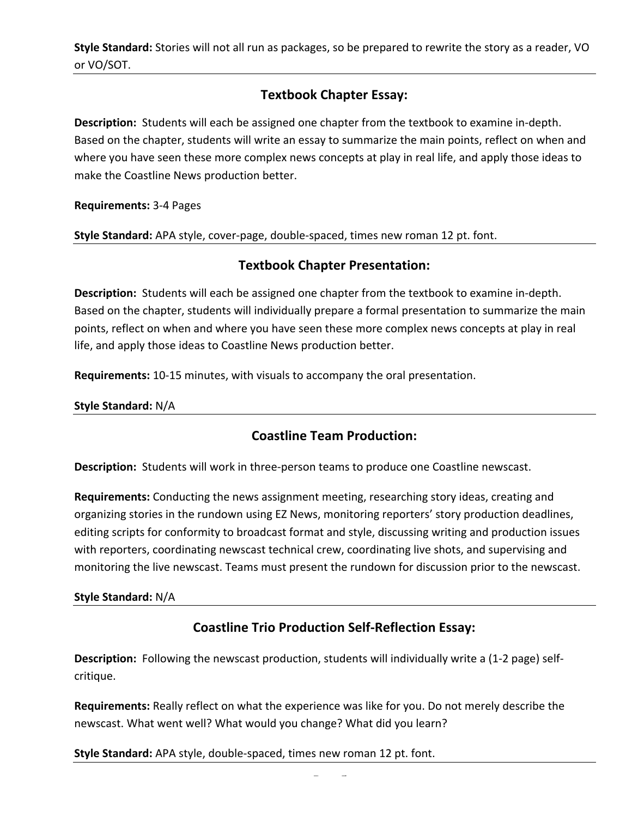**Style Standard:** Stories will not all run as packages, so be prepared to rewrite the story as a reader, VO or VO/SOT.

# **Textbook Chapter Essay:**

**Description:** Students will each be assigned one chapter from the textbook to examine in-depth. Based on the chapter, students will write an essay to summarize the main points, reflect on when and where you have seen these more complex news concepts at play in real life, and apply those ideas to make the Coastline News production better.

**Requirements: 3-4 Pages** 

**Style Standard:** APA style, cover-page, double-spaced, times new roman 12 pt. font.

## **Textbook Chapter Presentation:**

**Description:** Students will each be assigned one chapter from the textbook to examine in-depth. Based on the chapter, students will individually prepare a formal presentation to summarize the main points, reflect on when and where you have seen these more complex news concepts at play in real life, and apply those ideas to Coastline News production better.

**Requirements:** 10-15 minutes, with visuals to accompany the oral presentation.

**Style Standard: N/A** 

## **Coastline Team Production:**

**Description:** Students will work in three-person teams to produce one Coastline newscast.

**Requirements:** Conducting the news assignment meeting, researching story ideas, creating and organizing stories in the rundown using EZ News, monitoring reporters' story production deadlines, editing scripts for conformity to broadcast format and style, discussing writing and production issues with reporters, coordinating newscast technical crew, coordinating live shots, and supervising and monitoring the live newscast. Teams must present the rundown for discussion prior to the newscast.

## **Style Standard: N/A**

# **Coastline Trio Production Self-Reflection Essay:**

**Description:** Following the newscast production, students will individually write a (1-2 page) selfcritique.

**Requirements:** Really reflect on what the experience was like for you. Do not merely describe the newscast. What went well? What would you change? What did you learn?

**Style Standard:** APA style, double-spaced, times new roman 12 pt. font.